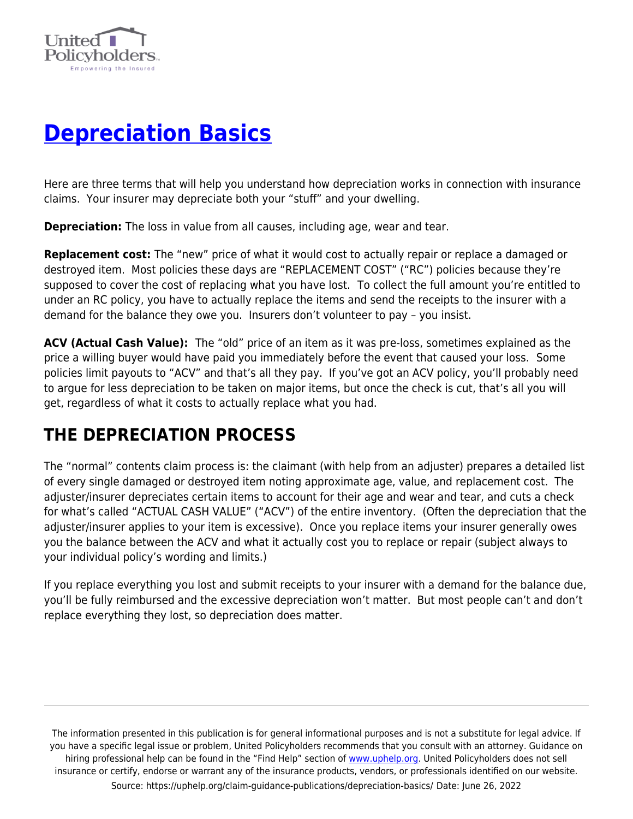

# **[Depreciation Basics](https://uphelp.org/claim-guidance-publications/depreciation-basics/)**

Here are three terms that will help you understand how depreciation works in connection with insurance claims. Your insurer may depreciate both your "stuff" and your dwelling.

**Depreciation:** The loss in value from all causes, including age, wear and tear.

**Replacement cost:** The "new" price of what it would cost to actually repair or replace a damaged or destroyed item. Most policies these days are "REPLACEMENT COST" ("RC") policies because they're supposed to cover the cost of replacing what you have lost.To collect the full amount you're entitled to under an RC policy, you have to actually replace the items and send the receipts to the insurer with a demand for the balance they owe you. Insurers don't volunteer to pay – you insist.

**ACV (Actual Cash Value):** The "old" price of an item as it was pre-loss, sometimes explained as the price a willing buyer would have paid you immediately before the event that caused your loss.Some policies limit payouts to "ACV" and that's all they pay. If you've got an ACV policy, you'll probably need to argue for less depreciation to be taken on major items, but once the check is cut, that's all you will get, regardless of what it costs to actually replace what you had.

### **THE DEPRECIATION PROCESS**

The "normal" contents claim process is: the claimant (with help from an adjuster) prepares a detailed list of every single damaged or destroyed item noting approximate age, value, and replacement cost. The adjuster/insurer depreciates certain items to account for their age and wear and tear, and cuts a check for what's called "ACTUAL CASH VALUE" ("ACV") of the entire inventory. (Often the depreciation that the adjuster/insurer applies to your item is excessive). Once you replace items your insurer generally owes you the balance between the ACV and what it actually cost you to replace or repair (subject always to your individual policy's wording and limits.)

If you replace everything you lost and submit receipts to your insurer with a demand for the balance due, you'll be fully reimbursed and the excessive depreciation won't matter. But most people can't and don't replace everything they lost, so depreciation does matter.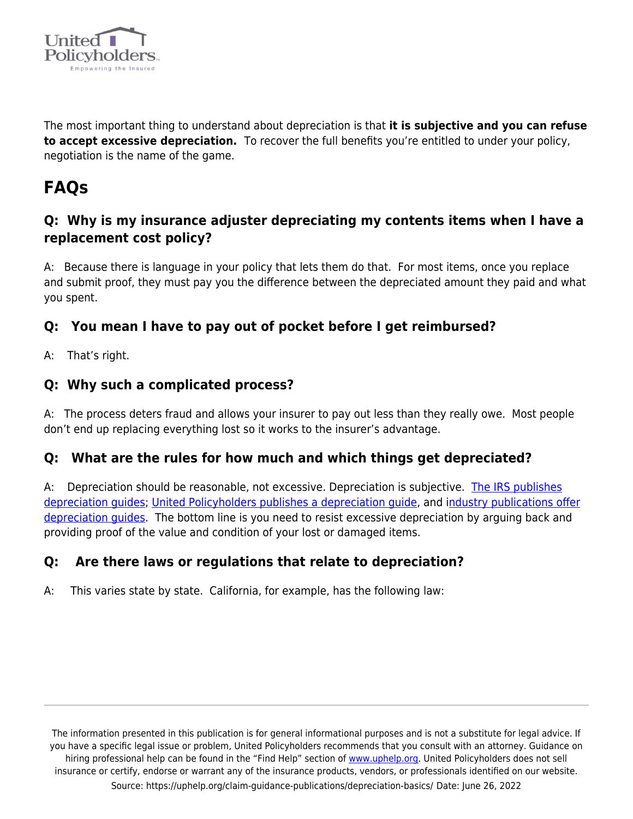

The most important thing to understand about depreciation is that **it is subjective and you can refuse to accept excessive depreciation.** To recover the full benefits you're entitled to under your policy, negotiation is the name of the game.

## **FAQs**

#### **Q: Why is my insurance adjuster depreciating my contents items when I have a replacement cost policy?**

A: Because there is language in your policy that lets them do that. For most items, once you replace and submit proof, they must pay you the difference between the depreciated amount they paid and what you spent.

### **Q: You mean I have to pay out of pocket before I get reimbursed?**

A: That's right.

#### **Q: Why such a complicated process?**

A: The process deters fraud and allows your insurer to pay out less than they really owe. Most people don't end up replacing everything lost so it works to the insurer's advantage.

#### **Q: What are the rules for how much and which things get depreciated?**

A: Depreciation should be reasonable, not excessive. Depreciation is subjective. [The IRS publishes](https://www.irs.gov/pub/irs-pdf/p946.pdf) [depreciation guides;](https://www.irs.gov/pub/irs-pdf/p946.pdf) [United Policyholders publishes a depreciation guide,](https://uphelp.org/wp-content/uploads/2020/09/UP-Depreciation-Schedule.pdf) and [industry publications offer](https://uphelp.org/wp-content/uploads/2020/09/Depreciation_CP-1.pdf) depreciation quides. The bottom line is you need to resist excessive depreciation by arguing back and providing proof of the value and condition of your lost or damaged items.

#### **Q: Are there laws or regulations that relate to depreciation?**

A: This varies state by state. California, for example, has the following law: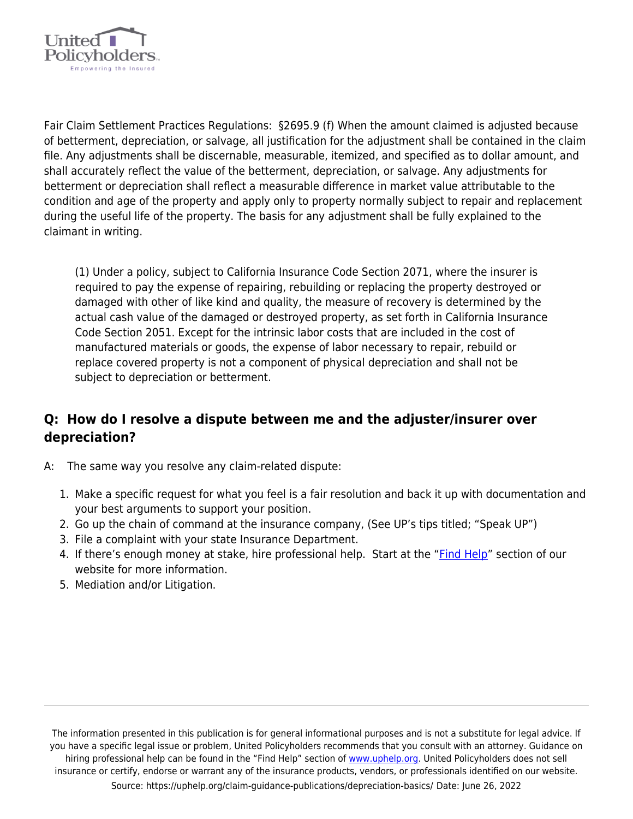

Fair Claim Settlement Practices Regulations: §2695.9 (f) When the amount claimed is adjusted because of betterment, depreciation, or salvage, all justification for the adjustment shall be contained in the claim file. Any adjustments shall be discernable, measurable, itemized, and specified as to dollar amount, and shall accurately reflect the value of the betterment, depreciation, or salvage. Any adjustments for betterment or depreciation shall reflect a measurable difference in market value attributable to the condition and age of the property and apply only to property normally subject to repair and replacement during the useful life of the property. The basis for any adjustment shall be fully explained to the claimant in writing.

(1) Under a policy, subject to California Insurance Code Section 2071, where the insurer is required to pay the expense of repairing, rebuilding or replacing the property destroyed or damaged with other of like kind and quality, the measure of recovery is determined by the actual cash value of the damaged or destroyed property, as set forth in California Insurance Code Section 2051. Except for the intrinsic labor costs that are included in the cost of manufactured materials or goods, the expense of labor necessary to repair, rebuild or replace covered property is not a component of physical depreciation and shall not be subject to depreciation or betterment.

#### **Q: How do I resolve a dispute between me and the adjuster/insurer over depreciation?**

- A: The same way you resolve any claim-related dispute:
	- 1. Make a specific request for what you feel is a fair resolution and back it up with documentation and your best arguments to support your position.
	- 2. Go up the chain of command at the insurance company, (See UP's tips titled; "Speak UP")
	- 3. File a complaint with your state Insurance Department.
	- 4. If there's enough money at stake, hire professional help. Start at the ["Find Help"](https://uphelp.org/recovery/professional-help-directory/) section of our website for more information.
	- 5. Mediation and/or Litigation.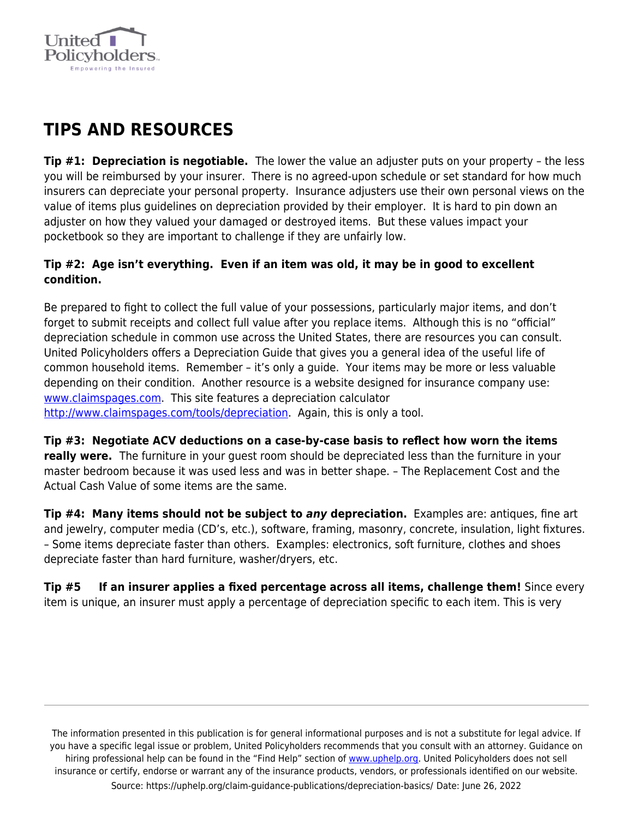

### **TIPS AND RESOURCES**

**Tip #1: Depreciation is negotiable.** The lower the value an adjuster puts on your property – the less you will be reimbursed by your insurer. There is no agreed-upon schedule or set standard for how much insurers can depreciate your personal property. Insurance adjusters use their own personal views on the value of items plus guidelines on depreciation provided by their employer. It is hard to pin down an adjuster on how they valued your damaged or destroyed items. But these values impact your pocketbook so they are important to challenge if they are unfairly low.

#### **Tip #2: Age isn't everything. Even if an item was old, it may be in good to excellent condition.**

Be prepared to fight to collect the full value of your possessions, particularly major items, and don't forget to submit receipts and collect full value after you replace items. Although this is no "official" depreciation schedule in common use across the United States, there are resources you can consult. United Policyholders offers a Depreciation Guide that gives you a general idea of the useful life of common household items. Remember – it's only a guide. Your items may be more or less valuable depending on their condition. Another resource is a website designed for insurance company use: [www.claimspages.com.](http://www.claimspages.com/) This site features a depreciation calculator [http://www.claimspages.com/tools/depreciation.](http://www.claimspages.com/tools/depreciation) Again, this is only a tool.

**Tip #3: Negotiate ACV deductions on a case-by-case basis to reflect how worn the items really were.** The furniture in your guest room should be depreciated less than the furniture in your master bedroom because it was used less and was in better shape. – The Replacement Cost and the Actual Cash Value of some items are the same.

**Tip #4: Many items should not be subject to** *any* **depreciation.** Examples are: antiques, fine art and jewelry, computer media (CD's, etc.), software, framing, masonry, concrete, insulation, light fixtures. – Some items depreciate faster than others. Examples: electronics, soft furniture, clothes and shoes depreciate faster than hard furniture, washer/dryers, etc.

**Tip #5 If an insurer applies a fixed percentage across all items, challenge them!** Since every item is unique, an insurer must apply a percentage of depreciation specific to each item. This is very